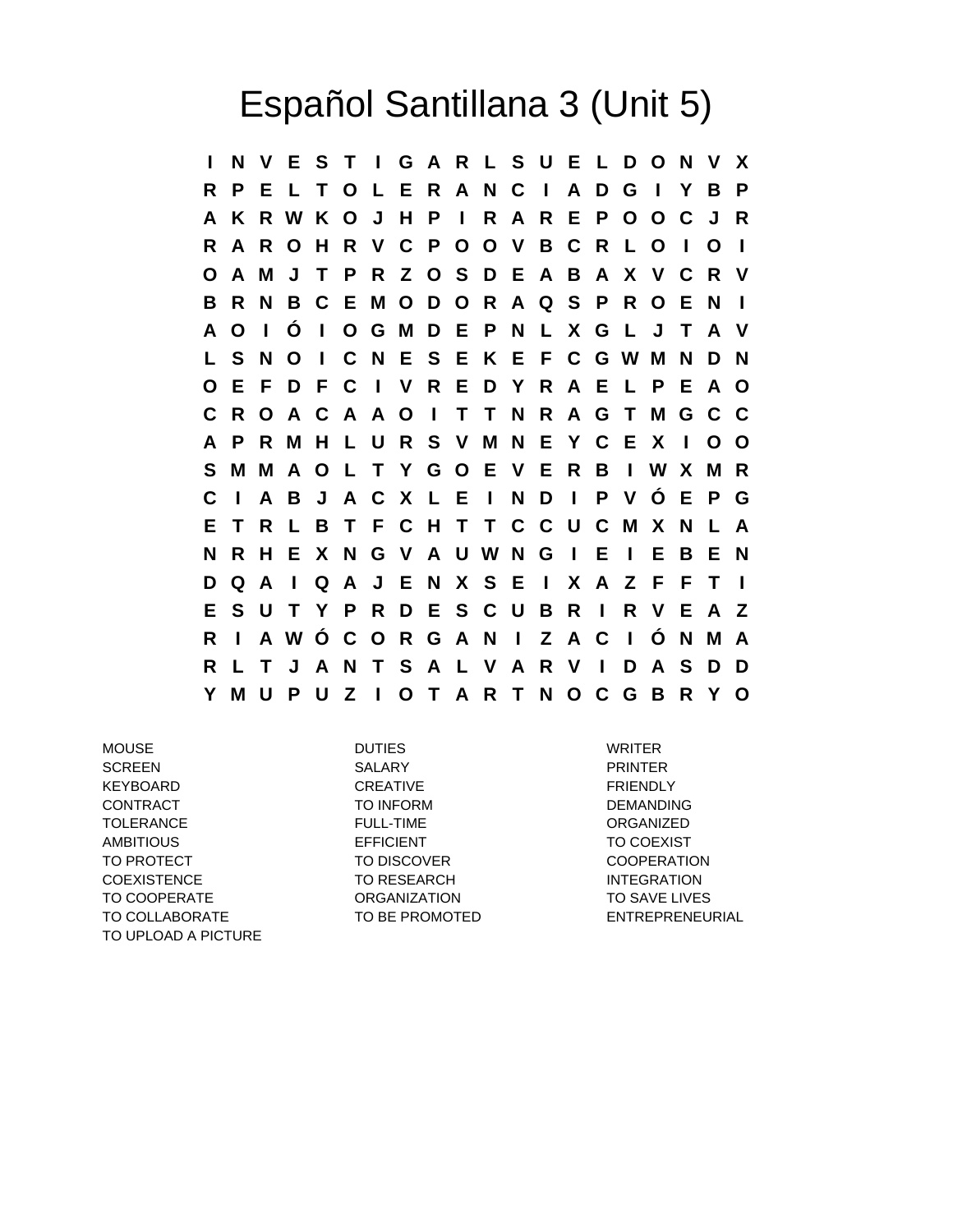## Español Santillana 3 (Unit 5)

**I N V E S T I G A R L S U E L D O N V X R P E L T O L E R A N C I A D G I Y B P A K R W K O J H P I R A R E P O O C J R R A R O H R V C P O O V B C R L O I O I O A M J T P R Z O S D E A B A X V C R V B R N B C E M O D O R A Q S P R O E N I A O I Ó I O G M D E P N L X G L J T A V L S N O I C N E S E K E F C G W M N D N O E F D F C I V R E D Y R A E L P E A O C R O A C A A O I T T N R A G T M G C C A P R M H L U R S V M N E Y C E X I O O S M M A O L T Y G O E V E R B I W X M R C I A B J A C X L E I N D I P V Ó E P G E T R L B T F C H T T C C U C M X N L A N R H E X N G V A U W N G I E I E B E N D Q A I Q A J E N X S E I X A Z F F T I E S U T Y P R D E S C U B R I R V E A Z R I A W Ó C O R G A N I Z A C I Ó N M A R L T J A N T S A L V A R V I D A S D D Y M U P U Z I O T A R T N O C G B R Y O**

MOUSE DUTIES WRITER SCREEN SALARY PRINTER KEYBOARD CREATIVE CREATIVE FRIENDLY CONTRACT TO INFORM TO INFORM DEMANDING TOLERANCE FULL-TIME ORGANIZED AMBITIOUS EFFICIENT EXAMPLE TO COEXIST TO PROTECT TO DISCOVER TO DISCOVER COOPERATION COEXISTENCE TO RESEARCH INTEGRATION TO COOPERATE **ORGANIZATION** TO SAVE LIVES TO COLLABORATE TO BE PROMOTED ENTREPRENEURIAL TO UPLOAD A PICTURE